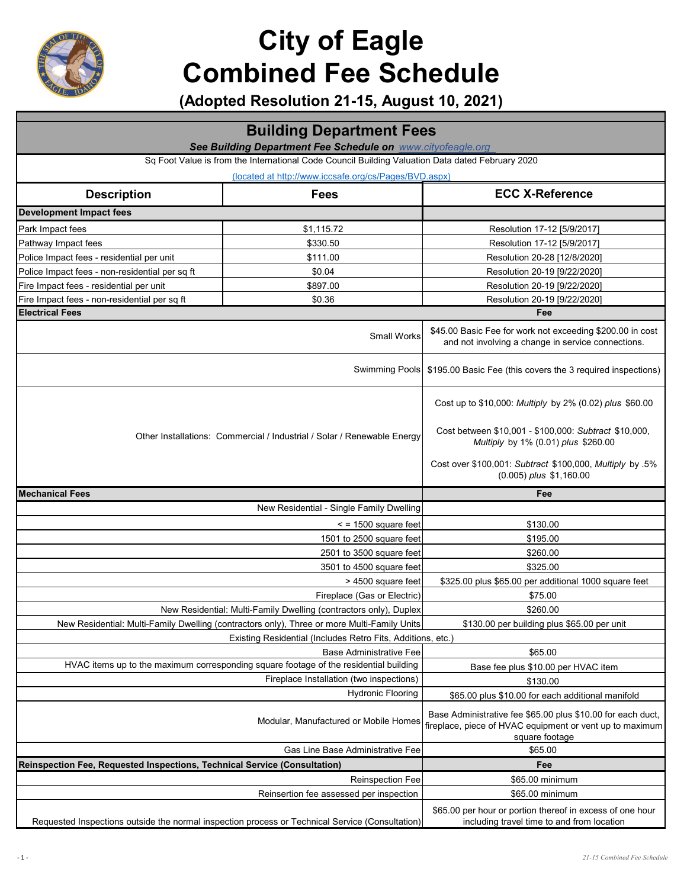

|                                                                           | <b>Building Department Fees</b>                                                                  |                                                                                                                                                         |  |
|---------------------------------------------------------------------------|--------------------------------------------------------------------------------------------------|---------------------------------------------------------------------------------------------------------------------------------------------------------|--|
| See Building Department Fee Schedule on www.cityofeagle.org               |                                                                                                  |                                                                                                                                                         |  |
|                                                                           | Sq Foot Value is from the International Code Council Building Valuation Data dated February 2020 |                                                                                                                                                         |  |
|                                                                           | (located at http://www.iccsafe.org/cs/Pages/BVD.aspx)                                            |                                                                                                                                                         |  |
| <b>Description</b>                                                        | <b>Fees</b>                                                                                      | <b>ECC X-Reference</b>                                                                                                                                  |  |
| <b>Development Impact fees</b>                                            |                                                                                                  |                                                                                                                                                         |  |
| Park Impact fees                                                          | \$1,115.72                                                                                       | Resolution 17-12 [5/9/2017]                                                                                                                             |  |
| Pathway Impact fees                                                       | \$330.50                                                                                         | Resolution 17-12 [5/9/2017]                                                                                                                             |  |
| Police Impact fees - residential per unit                                 | \$111.00                                                                                         | Resolution 20-28 [12/8/2020]                                                                                                                            |  |
| Police Impact fees - non-residential per sq ft                            | \$0.04                                                                                           | Resolution 20-19 [9/22/2020]                                                                                                                            |  |
| Fire Impact fees - residential per unit                                   | \$897.00                                                                                         | Resolution 20-19 [9/22/2020]                                                                                                                            |  |
| Fire Impact fees - non-residential per sq ft                              | \$0.36                                                                                           | Resolution 20-19 [9/22/2020]                                                                                                                            |  |
| <b>Electrical Fees</b>                                                    |                                                                                                  | Fee                                                                                                                                                     |  |
|                                                                           | <b>Small Works</b>                                                                               | \$45.00 Basic Fee for work not exceeding \$200.00 in cost<br>and not involving a change in service connections.                                         |  |
|                                                                           | <b>Swimming Pools</b>                                                                            | \$195.00 Basic Fee (this covers the 3 required inspections)                                                                                             |  |
|                                                                           | Other Installations: Commercial / Industrial / Solar / Renewable Energy                          | Cost up to \$10,000: Multiply by 2% (0.02) plus \$60.00<br>Cost between \$10,001 - \$100,000: Subtract \$10,000,<br>Multiply by 1% (0.01) plus \$260.00 |  |
|                                                                           |                                                                                                  | Cost over \$100,001: Subtract \$100,000, Multiply by .5%<br>$(0.005)$ plus \$1,160.00                                                                   |  |
| <b>Mechanical Fees</b>                                                    |                                                                                                  | Fee                                                                                                                                                     |  |
|                                                                           | New Residential - Single Family Dwelling                                                         |                                                                                                                                                         |  |
|                                                                           | $\le$ = 1500 square feet                                                                         | \$130.00                                                                                                                                                |  |
|                                                                           | 1501 to 2500 square feet                                                                         | \$195.00                                                                                                                                                |  |
| 2501 to 3500 square feet                                                  |                                                                                                  | \$260.00                                                                                                                                                |  |
| 3501 to 4500 square feet                                                  |                                                                                                  | \$325.00                                                                                                                                                |  |
|                                                                           | > 4500 square feet                                                                               | \$325.00 plus \$65.00 per additional 1000 square feet                                                                                                   |  |
|                                                                           | Fireplace (Gas or Electric)                                                                      | \$75.00                                                                                                                                                 |  |
|                                                                           | New Residential: Multi-Family Dwelling (contractors only), Duplex                                | \$260.00                                                                                                                                                |  |
|                                                                           | New Residential: Multi-Family Dwelling (contractors only), Three or more Multi-Family Units      | \$130.00 per building plus \$65.00 per unit                                                                                                             |  |
|                                                                           | Existing Residential (Includes Retro Fits, Additions, etc.)                                      |                                                                                                                                                         |  |
|                                                                           | <b>Base Administrative Fee</b>                                                                   | \$65.00                                                                                                                                                 |  |
|                                                                           | HVAC items up to the maximum corresponding square footage of the residential building            | Base fee plus \$10.00 per HVAC item                                                                                                                     |  |
|                                                                           | Fireplace Installation (two inspections)                                                         | \$130.00                                                                                                                                                |  |
|                                                                           | <b>Hydronic Flooring</b>                                                                         | \$65.00 plus \$10.00 for each additional manifold                                                                                                       |  |
|                                                                           | Modular, Manufactured or Mobile Homes                                                            | Base Administrative fee \$65.00 plus \$10.00 for each duct,<br>fireplace, piece of HVAC equipment or vent up to maximum<br>square footage               |  |
|                                                                           | Gas Line Base Administrative Fee                                                                 | \$65.00                                                                                                                                                 |  |
| Reinspection Fee, Requested Inspections, Technical Service (Consultation) |                                                                                                  | Fee                                                                                                                                                     |  |
|                                                                           | <b>Reinspection Fee</b>                                                                          | \$65.00 minimum                                                                                                                                         |  |
|                                                                           | Reinsertion fee assessed per inspection                                                          | \$65.00 minimum                                                                                                                                         |  |
|                                                                           | Requested Inspections outside the normal inspection process or Technical Service (Consultation)  | \$65.00 per hour or portion thereof in excess of one hour<br>including travel time to and from location                                                 |  |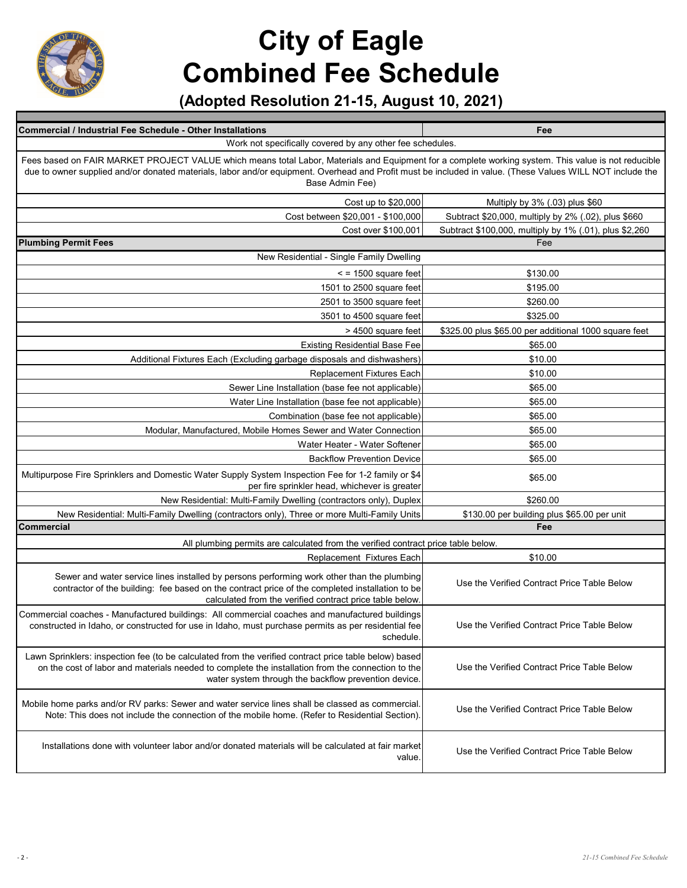

| Commercial / Industrial Fee Schedule - Other Installations<br>Work not specifically covered by any other fee schedules.                                                                                                                                                                                                             | Fee                                                    |  |
|-------------------------------------------------------------------------------------------------------------------------------------------------------------------------------------------------------------------------------------------------------------------------------------------------------------------------------------|--------------------------------------------------------|--|
| Fees based on FAIR MARKET PROJECT VALUE which means total Labor, Materials and Equipment for a complete working system. This value is not reducible<br>due to owner supplied and/or donated materials, labor and/or equipment. Overhead and Profit must be included in value. (These Values WILL NOT include the<br>Base Admin Fee) |                                                        |  |
| Cost up to \$20,000                                                                                                                                                                                                                                                                                                                 | Multiply by 3% (.03) plus \$60                         |  |
| Cost between \$20,001 - \$100,000                                                                                                                                                                                                                                                                                                   | Subtract \$20,000, multiply by 2% (.02), plus \$660    |  |
| Cost over \$100,001                                                                                                                                                                                                                                                                                                                 | Subtract \$100,000, multiply by 1% (.01), plus \$2,260 |  |
| <b>Plumbing Permit Fees</b>                                                                                                                                                                                                                                                                                                         | Fee                                                    |  |
| New Residential - Single Family Dwelling                                                                                                                                                                                                                                                                                            |                                                        |  |
| $\le$ = 1500 square feet                                                                                                                                                                                                                                                                                                            | \$130.00                                               |  |
| 1501 to 2500 square feet                                                                                                                                                                                                                                                                                                            | \$195.00                                               |  |
| 2501 to 3500 square feet                                                                                                                                                                                                                                                                                                            | \$260.00                                               |  |
| 3501 to 4500 square feet                                                                                                                                                                                                                                                                                                            | \$325.00                                               |  |
| > 4500 square feet                                                                                                                                                                                                                                                                                                                  | \$325.00 plus \$65.00 per additional 1000 square feet  |  |
| <b>Existing Residential Base Fee</b>                                                                                                                                                                                                                                                                                                | \$65.00                                                |  |
| Additional Fixtures Each (Excluding garbage disposals and dishwashers)                                                                                                                                                                                                                                                              | \$10.00                                                |  |
| <b>Replacement Fixtures Each</b>                                                                                                                                                                                                                                                                                                    | \$10.00                                                |  |
| Sewer Line Installation (base fee not applicable)                                                                                                                                                                                                                                                                                   | \$65.00                                                |  |
| Water Line Installation (base fee not applicable)                                                                                                                                                                                                                                                                                   | \$65.00                                                |  |
| Combination (base fee not applicable)                                                                                                                                                                                                                                                                                               | \$65.00                                                |  |
| Modular, Manufactured, Mobile Homes Sewer and Water Connection                                                                                                                                                                                                                                                                      | \$65.00                                                |  |
| Water Heater - Water Softener                                                                                                                                                                                                                                                                                                       | \$65.00                                                |  |
| <b>Backflow Prevention Device</b>                                                                                                                                                                                                                                                                                                   | \$65.00                                                |  |
| Multipurpose Fire Sprinklers and Domestic Water Supply System Inspection Fee for 1-2 family or \$4<br>per fire sprinkler head, whichever is greater                                                                                                                                                                                 | \$65.00                                                |  |
| New Residential: Multi-Family Dwelling (contractors only), Duplex                                                                                                                                                                                                                                                                   | \$260.00                                               |  |
| New Residential: Multi-Family Dwelling (contractors only), Three or more Multi-Family Units                                                                                                                                                                                                                                         | \$130.00 per building plus \$65.00 per unit            |  |
| Commercial                                                                                                                                                                                                                                                                                                                          | Fee                                                    |  |
| All plumbing permits are calculated from the verified contract price table below.                                                                                                                                                                                                                                                   |                                                        |  |
| Replacement Fixtures Each                                                                                                                                                                                                                                                                                                           | \$10.00                                                |  |
| Sewer and water service lines installed by persons performing work other than the plumbing<br>contractor of the building: fee based on the contract price of the completed installation to be<br>calculated from the verified contract price table below.                                                                           | Use the Verified Contract Price Table Below            |  |
| Commercial coaches - Manufactured buildings: All commercial coaches and manufactured buildings<br>constructed in Idaho, or constructed for use in Idaho, must purchase permits as per residential fee<br>schedule.                                                                                                                  | Use the Verified Contract Price Table Below            |  |
| Lawn Sprinklers: inspection fee (to be calculated from the verified contract price table below) based<br>on the cost of labor and materials needed to complete the installation from the connection to the<br>water system through the backflow prevention device.                                                                  | Use the Verified Contract Price Table Below            |  |
| Mobile home parks and/or RV parks: Sewer and water service lines shall be classed as commercial.<br>Note: This does not include the connection of the mobile home. (Refer to Residential Section).                                                                                                                                  | Use the Verified Contract Price Table Below            |  |
| Installations done with volunteer labor and/or donated materials will be calculated at fair market<br>value.                                                                                                                                                                                                                        | Use the Verified Contract Price Table Below            |  |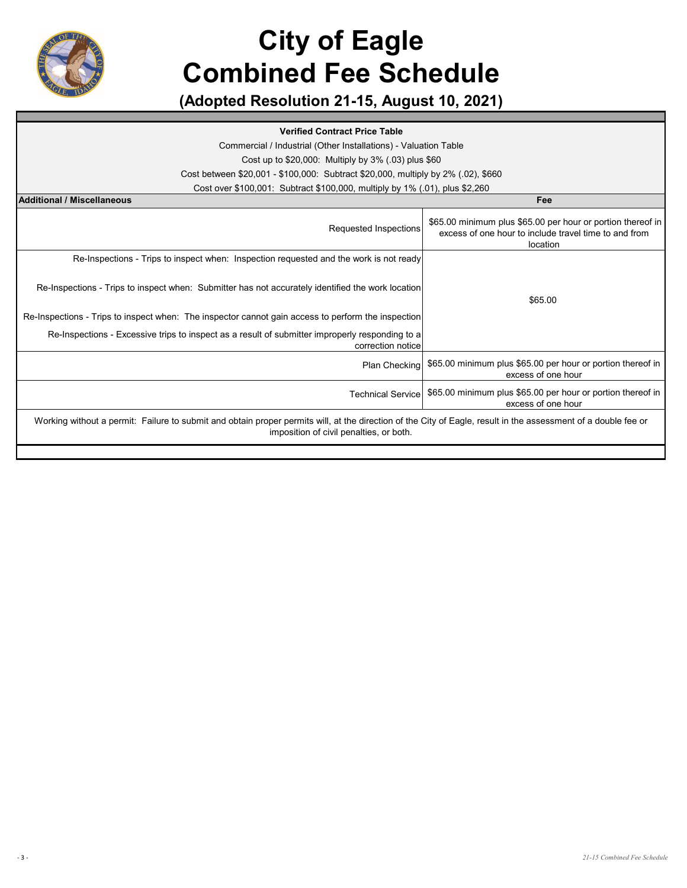

**(Adopted Resolution 21-15, August 10, 2021)**

#### **Verified Contract Price Table**

Commercial / Industrial (Other Installations) - Valuation Table

Cost up to \$20,000: Multiply by 3% (.03) plus \$60

Cost between \$20,001 - \$100,000: Subtract \$20,000, multiply by 2% (.02), \$660

Cost over \$100,001: Subtract \$100,000, multiply by 1% (.01), plus \$2,260

| <b>Additional / Miscellaneous</b>                                                                                                                                                                         | Fee                                                                                                                              |  |
|-----------------------------------------------------------------------------------------------------------------------------------------------------------------------------------------------------------|----------------------------------------------------------------------------------------------------------------------------------|--|
| Requested Inspections                                                                                                                                                                                     | \$65.00 minimum plus \$65.00 per hour or portion thereof in<br>excess of one hour to include travel time to and from<br>location |  |
| Re-Inspections - Trips to inspect when: Inspection requested and the work is not ready                                                                                                                    |                                                                                                                                  |  |
| Re-Inspections - Trips to inspect when: Submitter has not accurately identified the work location                                                                                                         | \$65.00                                                                                                                          |  |
| Re-Inspections - Trips to inspect when: The inspector cannot gain access to perform the inspection                                                                                                        |                                                                                                                                  |  |
| Re-Inspections - Excessive trips to inspect as a result of submitter improperly responding to a<br>correction notice                                                                                      |                                                                                                                                  |  |
| <b>Plan Checking</b>                                                                                                                                                                                      | \$65.00 minimum plus \$65.00 per hour or portion thereof in<br>excess of one hour                                                |  |
| <b>Technical Service</b>                                                                                                                                                                                  | \$65.00 minimum plus \$65.00 per hour or portion thereof in<br>excess of one hour                                                |  |
| Working without a permit: Failure to submit and obtain proper permits will, at the direction of the City of Eagle, result in the assessment of a double fee or<br>imposition of civil penalties, or both. |                                                                                                                                  |  |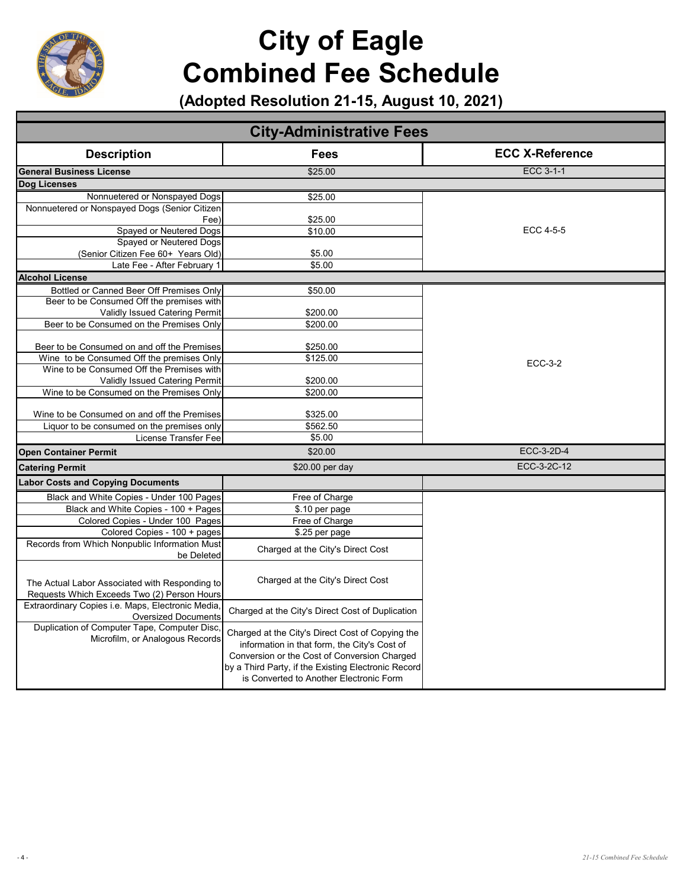

| <b>City-Administrative Fees</b>                                                               |                                                                                                                                                                                                                                                    |                        |  |
|-----------------------------------------------------------------------------------------------|----------------------------------------------------------------------------------------------------------------------------------------------------------------------------------------------------------------------------------------------------|------------------------|--|
| <b>Description</b>                                                                            | Fees                                                                                                                                                                                                                                               | <b>ECC X-Reference</b> |  |
| <b>General Business License</b>                                                               | \$25.00                                                                                                                                                                                                                                            | <b>ECC 3-1-1</b>       |  |
| Dog Licenses                                                                                  |                                                                                                                                                                                                                                                    |                        |  |
| Nonnuetered or Nonspayed Dogs                                                                 | \$25.00                                                                                                                                                                                                                                            |                        |  |
| Nonnuetered or Nonspayed Dogs (Senior Citizen                                                 |                                                                                                                                                                                                                                                    |                        |  |
| Fee)                                                                                          | \$25.00                                                                                                                                                                                                                                            |                        |  |
| Spayed or Neutered Dogs                                                                       | \$10.00                                                                                                                                                                                                                                            | ECC 4-5-5              |  |
| Spayed or Neutered Dogs                                                                       |                                                                                                                                                                                                                                                    |                        |  |
| (Senior Citizen Fee 60+ Years Old)                                                            | \$5.00                                                                                                                                                                                                                                             |                        |  |
| Late Fee - After February 1                                                                   | \$5.00                                                                                                                                                                                                                                             |                        |  |
| <b>Alcohol License</b>                                                                        |                                                                                                                                                                                                                                                    |                        |  |
| Bottled or Canned Beer Off Premises Only                                                      | \$50.00                                                                                                                                                                                                                                            |                        |  |
| Beer to be Consumed Off the premises with                                                     |                                                                                                                                                                                                                                                    |                        |  |
| Validly Issued Catering Permit                                                                | \$200.00                                                                                                                                                                                                                                           |                        |  |
| Beer to be Consumed on the Premises Only                                                      | \$200.00                                                                                                                                                                                                                                           |                        |  |
|                                                                                               |                                                                                                                                                                                                                                                    |                        |  |
| Beer to be Consumed on and off the Premises                                                   | \$250.00                                                                                                                                                                                                                                           |                        |  |
| Wine to be Consumed Off the premises Only                                                     | \$125.00                                                                                                                                                                                                                                           | <b>ECC-3-2</b>         |  |
| Wine to be Consumed Off the Premises with                                                     |                                                                                                                                                                                                                                                    |                        |  |
| Validly Issued Catering Permit                                                                | \$200.00                                                                                                                                                                                                                                           |                        |  |
| Wine to be Consumed on the Premises Only                                                      | \$200.00                                                                                                                                                                                                                                           |                        |  |
|                                                                                               |                                                                                                                                                                                                                                                    |                        |  |
| Wine to be Consumed on and off the Premises<br>Liquor to be consumed on the premises only     | \$325.00<br>\$562.50                                                                                                                                                                                                                               |                        |  |
| License Transfer Fee                                                                          | \$5.00                                                                                                                                                                                                                                             |                        |  |
|                                                                                               |                                                                                                                                                                                                                                                    |                        |  |
| <b>Open Container Permit</b>                                                                  | \$20.00                                                                                                                                                                                                                                            | ECC-3-2D-4             |  |
| <b>Catering Permit</b>                                                                        | \$20.00 per day                                                                                                                                                                                                                                    | ECC-3-2C-12            |  |
| <b>Labor Costs and Copying Documents</b>                                                      |                                                                                                                                                                                                                                                    |                        |  |
| Black and White Copies - Under 100 Pages                                                      | Free of Charge                                                                                                                                                                                                                                     |                        |  |
| Black and White Copies - 100 + Pages                                                          | \$.10 per page                                                                                                                                                                                                                                     |                        |  |
| Colored Copies - Under 100 Pages                                                              | Free of Charge                                                                                                                                                                                                                                     |                        |  |
| Colored Copies - 100 + pages                                                                  | \$.25 per page                                                                                                                                                                                                                                     |                        |  |
| Records from Which Nonpublic Information Must<br>be Deleted                                   | Charged at the City's Direct Cost                                                                                                                                                                                                                  |                        |  |
| The Actual Labor Associated with Responding to<br>Requests Which Exceeds Two (2) Person Hours | Charged at the City's Direct Cost                                                                                                                                                                                                                  |                        |  |
| Extraordinary Copies i.e. Maps, Electronic Media,<br><b>Oversized Documents</b>               | Charged at the City's Direct Cost of Duplication                                                                                                                                                                                                   |                        |  |
| Duplication of Computer Tape, Computer Disc,<br>Microfilm, or Analogous Records               | Charged at the City's Direct Cost of Copying the<br>information in that form, the City's Cost of<br>Conversion or the Cost of Conversion Charged<br>by a Third Party, if the Existing Electronic Record<br>is Converted to Another Electronic Form |                        |  |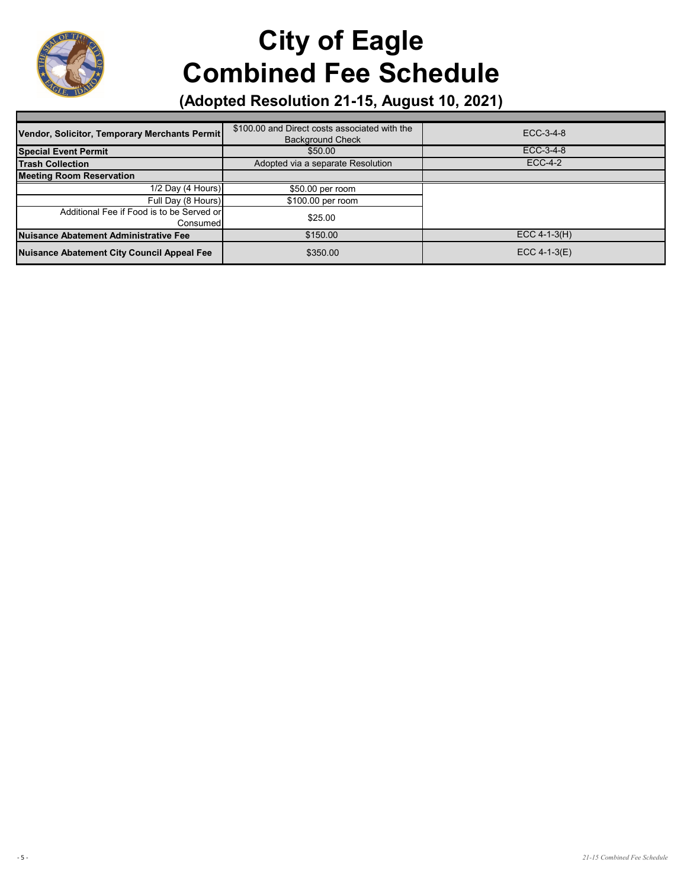

| Vendor, Solicitor, Temporary Merchants Permit         | \$100.00 and Direct costs associated with the<br><b>Background Check</b> | ECC-3-4-8      |
|-------------------------------------------------------|--------------------------------------------------------------------------|----------------|
| <b>Special Event Permit</b>                           | \$50.00                                                                  | ECC-3-4-8      |
| <b>Trash Collection</b>                               | Adopted via a separate Resolution                                        | <b>ECC-4-2</b> |
| <b>Meeting Room Reservation</b>                       |                                                                          |                |
| 1/2 Day (4 Hours)                                     | \$50.00 per room                                                         |                |
| Full Day (8 Hours)                                    | \$100.00 per room                                                        |                |
| Additional Fee if Food is to be Served or<br>Consumed | \$25.00                                                                  |                |
| Nuisance Abatement Administrative Fee                 | \$150.00                                                                 | $ECC 4-1-3(H)$ |
| <b>Nuisance Abatement City Council Appeal Fee</b>     | \$350.00                                                                 | $ECC$ 4-1-3(E) |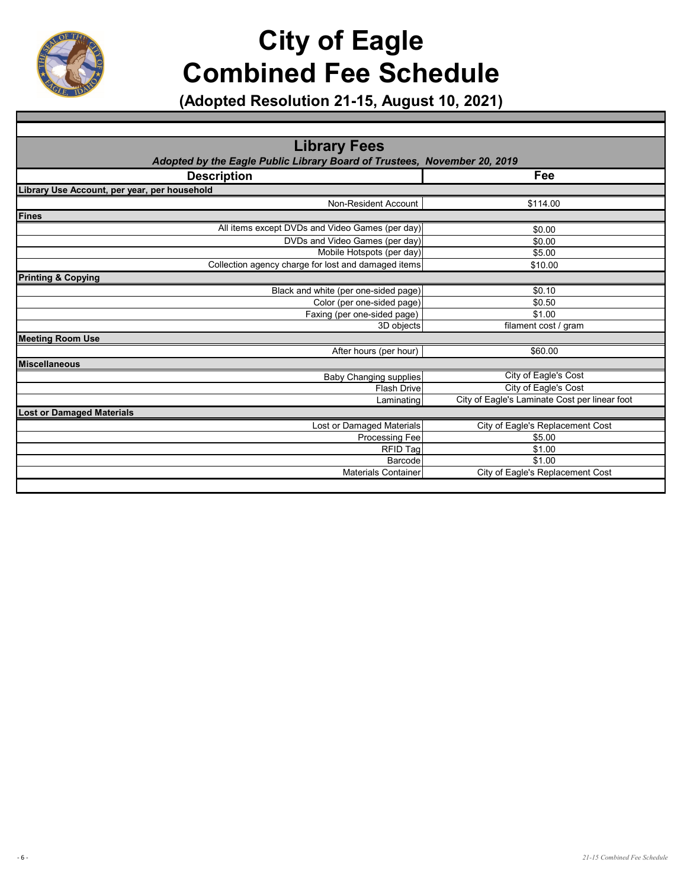

| <b>Library Fees</b>                                                      |                                               |
|--------------------------------------------------------------------------|-----------------------------------------------|
| Adopted by the Eagle Public Library Board of Trustees, November 20, 2019 |                                               |
| <b>Description</b>                                                       | Fee                                           |
| Library Use Account, per year, per household                             |                                               |
| Non-Resident Account                                                     | \$114.00                                      |
| <b>Fines</b>                                                             |                                               |
| All items except DVDs and Video Games (per day)                          | \$0.00                                        |
| DVDs and Video Games (per day)                                           | \$0.00                                        |
| Mobile Hotspots (per day)                                                | \$5.00                                        |
| Collection agency charge for lost and damaged items                      | \$10.00                                       |
| <b>Printing &amp; Copying</b>                                            |                                               |
| Black and white (per one-sided page)                                     | \$0.10                                        |
| Color (per one-sided page)                                               | \$0.50                                        |
| Faxing (per one-sided page)                                              | \$1.00                                        |
| 3D objects                                                               | filament cost / gram                          |
| <b>Meeting Room Use</b>                                                  |                                               |
| After hours (per hour)                                                   | \$60.00                                       |
| <b>Miscellaneous</b>                                                     |                                               |
| <b>Baby Changing supplies</b>                                            | City of Eagle's Cost                          |
| <b>Flash Drive</b>                                                       | City of Eagle's Cost                          |
| Laminating                                                               | City of Eagle's Laminate Cost per linear foot |
| <b>Lost or Damaged Materials</b>                                         |                                               |
| Lost or Damaged Materials                                                | City of Eagle's Replacement Cost              |
| <b>Processing Fee</b>                                                    | \$5.00                                        |
| <b>RFID Tag</b>                                                          | \$1.00                                        |
| Barcode                                                                  | \$1.00                                        |
| <b>Materials Container</b>                                               | City of Eagle's Replacement Cost              |
|                                                                          |                                               |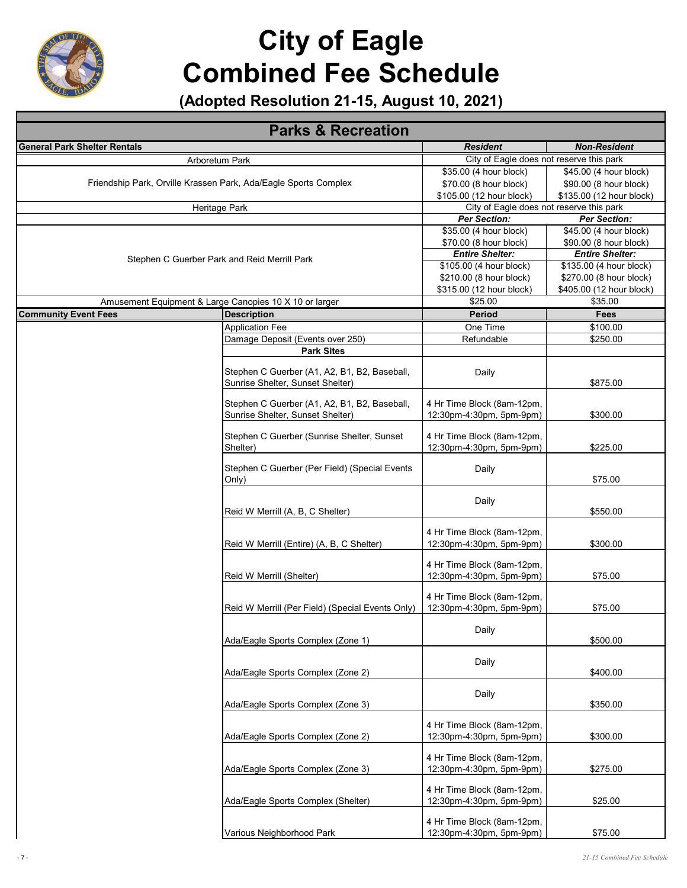

| <b>Parks &amp; Recreation</b>                                   |                                                                                  |                                                        |                                               |
|-----------------------------------------------------------------|----------------------------------------------------------------------------------|--------------------------------------------------------|-----------------------------------------------|
| <b>General Park Shelter Rentals</b>                             |                                                                                  | <b>Resident</b>                                        | <b>Non-Resident</b>                           |
|                                                                 | Arboretum Park                                                                   | City of Eagle does not reserve this park               |                                               |
| Friendship Park, Orville Krassen Park, Ada/Eagle Sports Complex |                                                                                  | \$35.00 (4 hour block)                                 | \$45.00 (4 hour block)                        |
|                                                                 |                                                                                  | \$70.00 (8 hour block)                                 | \$90.00 (8 hour block)                        |
|                                                                 |                                                                                  | \$105.00 (12 hour block)                               | \$135.00 (12 hour block)                      |
|                                                                 | Heritage Park                                                                    | City of Eagle does not reserve this park               |                                               |
|                                                                 |                                                                                  | <b>Per Section:</b><br>\$35.00 (4 hour block)          | <b>Per Section:</b><br>\$45.00 (4 hour block) |
|                                                                 |                                                                                  | \$70.00 (8 hour block)                                 | \$90.00 (8 hour block)                        |
|                                                                 |                                                                                  | <b>Entire Shelter:</b>                                 | <b>Entire Shelter:</b>                        |
|                                                                 | Stephen C Guerber Park and Reid Merrill Park                                     | \$105.00 (4 hour block)                                | \$135.00 (4 hour block)                       |
|                                                                 |                                                                                  | \$210.00 (8 hour block)                                | \$270.00 (8 hour block)                       |
|                                                                 |                                                                                  | \$315.00 (12 hour block)                               | \$405.00 (12 hour block)                      |
|                                                                 | Amusement Equipment & Large Canopies 10 X 10 or larger                           | \$25.00                                                | \$35.00                                       |
| <b>Community Event Fees</b>                                     | <b>Description</b>                                                               | <b>Period</b>                                          | Fees                                          |
|                                                                 | <b>Application Fee</b>                                                           | One Time                                               | \$100.00                                      |
|                                                                 | Damage Deposit (Events over 250)                                                 | Refundable                                             | \$250.00                                      |
|                                                                 | <b>Park Sites</b>                                                                |                                                        |                                               |
|                                                                 |                                                                                  |                                                        |                                               |
|                                                                 | Stephen C Guerber (A1, A2, B1, B2, Baseball,<br>Sunrise Shelter, Sunset Shelter) | Daily                                                  | \$875.00                                      |
|                                                                 |                                                                                  |                                                        |                                               |
|                                                                 | Stephen C Guerber (A1, A2, B1, B2, Baseball,                                     | 4 Hr Time Block (8am-12pm,                             |                                               |
|                                                                 | Sunrise Shelter, Sunset Shelter)                                                 | 12:30pm-4:30pm, 5pm-9pm)                               | \$300.00                                      |
|                                                                 |                                                                                  |                                                        |                                               |
|                                                                 | Stephen C Guerber (Sunrise Shelter, Sunset<br>Shelter)                           | 4 Hr Time Block (8am-12pm,<br>12:30pm-4:30pm, 5pm-9pm) | \$225.00                                      |
|                                                                 |                                                                                  |                                                        |                                               |
|                                                                 | Stephen C Guerber (Per Field) (Special Events                                    | Daily                                                  |                                               |
|                                                                 | Only)                                                                            |                                                        | \$75.00                                       |
|                                                                 |                                                                                  |                                                        |                                               |
|                                                                 | Reid W Merrill (A, B, C Shelter)                                                 | Daily                                                  | \$550.00                                      |
|                                                                 |                                                                                  |                                                        |                                               |
|                                                                 |                                                                                  | 4 Hr Time Block (8am-12pm,                             |                                               |
|                                                                 | Reid W Merrill (Entire) (A, B, C Shelter)                                        | 12:30pm-4:30pm, 5pm-9pm)                               | \$300.00                                      |
|                                                                 |                                                                                  | 4 Hr Time Block (8am-12pm,                             |                                               |
|                                                                 | Reid W Merrill (Shelter)                                                         | 12:30pm-4:30pm, 5pm-9pm)                               | \$75.00                                       |
|                                                                 |                                                                                  |                                                        |                                               |
|                                                                 |                                                                                  | 4 Hr Time Block (8am-12pm,                             |                                               |
|                                                                 | Reid W Merrill (Per Field) (Special Events Only)                                 | 12:30pm-4:30pm, 5pm-9pm)                               | \$75.00                                       |
|                                                                 |                                                                                  | Daily                                                  |                                               |
|                                                                 | Ada/Eagle Sports Complex (Zone 1)                                                |                                                        | \$500.00                                      |
|                                                                 |                                                                                  |                                                        |                                               |
|                                                                 |                                                                                  | Daily                                                  |                                               |
|                                                                 | Ada/Eagle Sports Complex (Zone 2)                                                |                                                        | \$400.00                                      |
|                                                                 |                                                                                  | Daily                                                  |                                               |
|                                                                 | Ada/Eagle Sports Complex (Zone 3)                                                |                                                        | \$350.00                                      |
|                                                                 |                                                                                  |                                                        |                                               |
|                                                                 |                                                                                  | 4 Hr Time Block (8am-12pm,                             |                                               |
|                                                                 | Ada/Eagle Sports Complex (Zone 2)                                                | 12:30pm-4:30pm, 5pm-9pm)                               | \$300.00                                      |
|                                                                 |                                                                                  | 4 Hr Time Block (8am-12pm,                             |                                               |
|                                                                 | Ada/Eagle Sports Complex (Zone 3)                                                | 12:30pm-4:30pm, 5pm-9pm)                               | \$275.00                                      |
|                                                                 |                                                                                  |                                                        |                                               |
|                                                                 |                                                                                  | 4 Hr Time Block (8am-12pm,                             |                                               |
|                                                                 | Ada/Eagle Sports Complex (Shelter)                                               | 12:30pm-4:30pm, 5pm-9pm)                               | \$25.00                                       |
|                                                                 |                                                                                  | 4 Hr Time Block (8am-12pm,                             |                                               |
|                                                                 | Various Neighborhood Park                                                        | 12:30pm-4:30pm, 5pm-9pm)                               | \$75.00                                       |
|                                                                 |                                                                                  |                                                        |                                               |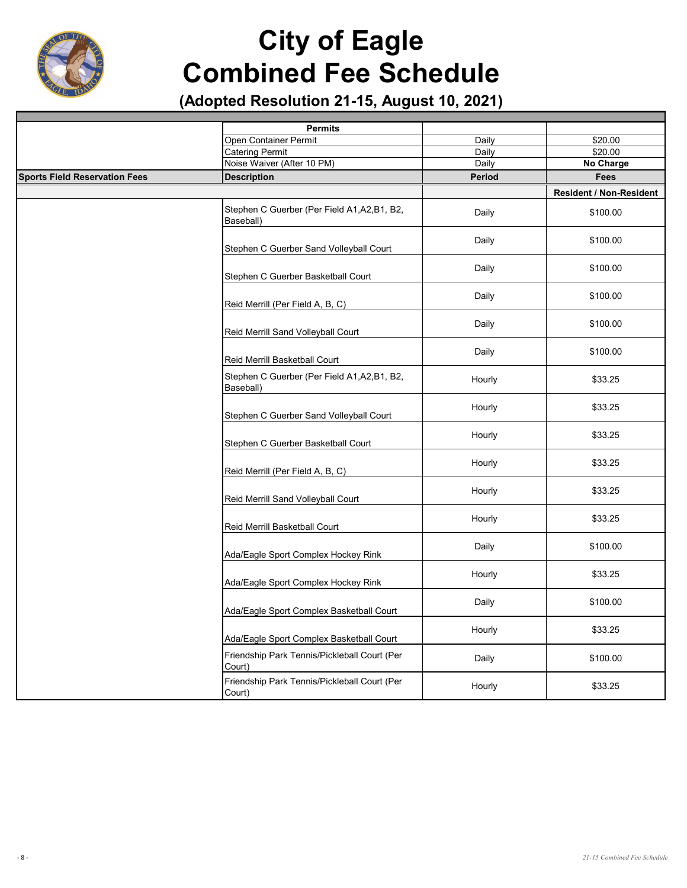

|                                      | <b>Permits</b>                                            |        |                                |
|--------------------------------------|-----------------------------------------------------------|--------|--------------------------------|
|                                      | Open Container Permit                                     | Daily  | \$20.00                        |
|                                      | <b>Catering Permit</b>                                    | Daily  | \$20.00                        |
|                                      | Noise Waiver (After 10 PM)                                | Daily  | No Charge                      |
| <b>Sports Field Reservation Fees</b> | <b>Description</b>                                        | Period | <b>Fees</b>                    |
|                                      |                                                           |        | <b>Resident / Non-Resident</b> |
|                                      | Stephen C Guerber (Per Field A1, A2, B1, B2,<br>Baseball) | Daily  | \$100.00                       |
|                                      | Stephen C Guerber Sand Volleyball Court                   | Daily  | \$100.00                       |
|                                      | Stephen C Guerber Basketball Court                        | Daily  | \$100.00                       |
|                                      | Reid Merrill (Per Field A, B, C)                          | Daily  | \$100.00                       |
|                                      | Reid Merrill Sand Volleyball Court                        | Daily  | \$100.00                       |
|                                      | Reid Merrill Basketball Court                             | Daily  | \$100.00                       |
|                                      | Stephen C Guerber (Per Field A1, A2, B1, B2,<br>Baseball) | Hourly | \$33.25                        |
|                                      | Stephen C Guerber Sand Volleyball Court                   | Hourly | \$33.25                        |
|                                      | Stephen C Guerber Basketball Court                        | Hourly | \$33.25                        |
|                                      | Reid Merrill (Per Field A, B, C)                          | Hourly | \$33.25                        |
|                                      | Reid Merrill Sand Volleyball Court                        | Hourly | \$33.25                        |
|                                      | Reid Merrill Basketball Court                             | Hourly | \$33.25                        |
|                                      | Ada/Eagle Sport Complex Hockey Rink                       | Daily  | \$100.00                       |
|                                      | Ada/Eagle Sport Complex Hockey Rink                       | Hourly | \$33.25                        |
|                                      | Ada/Eagle Sport Complex Basketball Court                  | Daily  | \$100.00                       |
|                                      | Ada/Eagle Sport Complex Basketball Court                  | Hourly | \$33.25                        |
|                                      | Friendship Park Tennis/Pickleball Court (Per<br>Court)    | Daily  | \$100.00                       |
|                                      | Friendship Park Tennis/Pickleball Court (Per<br>Court)    | Hourly | \$33.25                        |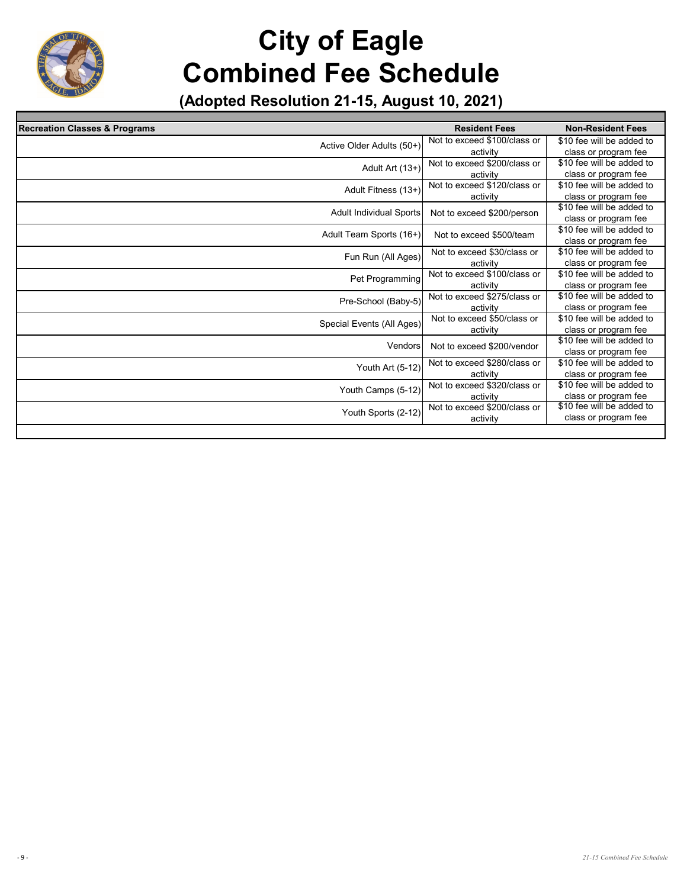| <b>Recreation Classes &amp; Programs</b> | <b>Resident Fees</b>         | <b>Non-Resident Fees</b>  |
|------------------------------------------|------------------------------|---------------------------|
| Active Older Adults (50+)                | Not to exceed \$100/class or | \$10 fee will be added to |
|                                          | activity                     | class or program fee      |
| Adult Art (13+)                          | Not to exceed \$200/class or | \$10 fee will be added to |
|                                          | activity                     | class or program fee      |
| Adult Fitness (13+)                      | Not to exceed \$120/class or | \$10 fee will be added to |
|                                          | activity                     | class or program fee      |
| Adult Individual Sports                  | Not to exceed \$200/person   | \$10 fee will be added to |
|                                          |                              | class or program fee      |
| Adult Team Sports (16+)                  | Not to exceed \$500/team     | \$10 fee will be added to |
|                                          |                              | class or program fee      |
| Fun Run (All Ages)                       | Not to exceed \$30/class or  | \$10 fee will be added to |
|                                          | activity                     | class or program fee      |
| Pet Programming                          | Not to exceed \$100/class or | \$10 fee will be added to |
|                                          | activity                     | class or program fee      |
| Pre-School (Baby-5)                      | Not to exceed \$275/class or | \$10 fee will be added to |
|                                          | activity                     | class or program fee      |
| Special Events (All Ages)                | Not to exceed \$50/class or  | \$10 fee will be added to |
|                                          | activity                     | class or program fee      |
| Vendors                                  | Not to exceed \$200/vendor   | \$10 fee will be added to |
|                                          |                              | class or program fee      |
| Youth Art (5-12)                         | Not to exceed \$280/class or | \$10 fee will be added to |
|                                          | activity                     | class or program fee      |
| Youth Camps (5-12)                       | Not to exceed \$320/class or | \$10 fee will be added to |
|                                          | activity                     | class or program fee      |
| Youth Sports (2-12)                      | Not to exceed \$200/class or | \$10 fee will be added to |
|                                          | activity                     | class or program fee      |
|                                          |                              |                           |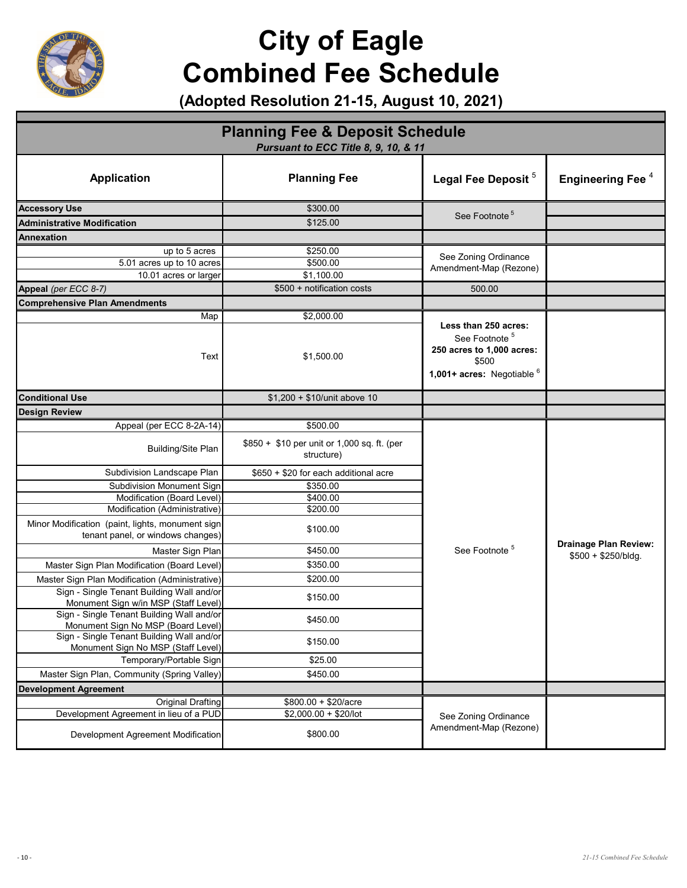

| <b>Planning Fee &amp; Deposit Schedule</b><br>Pursuant to ECC Title 8, 9, 10, & 11                                     |                                                           |                                                                                                                         |                                     |
|------------------------------------------------------------------------------------------------------------------------|-----------------------------------------------------------|-------------------------------------------------------------------------------------------------------------------------|-------------------------------------|
| <b>Application</b>                                                                                                     | <b>Planning Fee</b>                                       | Legal Fee Deposit <sup>5</sup>                                                                                          | <b>Engineering Fee</b> <sup>4</sup> |
| <b>Accessory Use</b>                                                                                                   | \$300.00                                                  |                                                                                                                         |                                     |
| <b>Administrative Modification</b>                                                                                     | \$125.00                                                  | See Footnote <sup>5</sup>                                                                                               |                                     |
| Annexation                                                                                                             |                                                           |                                                                                                                         |                                     |
| up to 5 acres                                                                                                          | \$250.00                                                  |                                                                                                                         |                                     |
| 5.01 acres up to 10 acres                                                                                              | \$500.00                                                  | See Zoning Ordinance<br>Amendment-Map (Rezone)                                                                          |                                     |
| 10.01 acres or larger                                                                                                  | \$1,100.00                                                |                                                                                                                         |                                     |
| Appeal (per ECC 8-7)                                                                                                   | \$500 + notification costs                                | 500.00                                                                                                                  |                                     |
| <b>Comprehensive Plan Amendments</b>                                                                                   |                                                           |                                                                                                                         |                                     |
| Map                                                                                                                    | \$2,000.00                                                |                                                                                                                         |                                     |
| Text                                                                                                                   | \$1,500.00                                                | Less than 250 acres:<br>See Footnote <sup>5</sup><br>250 acres to 1,000 acres:<br>\$500<br>1,001+ acres: Negotiable $6$ |                                     |
| <b>Conditional Use</b>                                                                                                 | $$1,200 + $10/$ unit above 10                             |                                                                                                                         |                                     |
| <b>Design Review</b>                                                                                                   |                                                           |                                                                                                                         |                                     |
| Appeal (per ECC 8-2A-14)                                                                                               | \$500.00                                                  |                                                                                                                         |                                     |
| <b>Building/Site Plan</b>                                                                                              | \$850 + \$10 per unit or 1,000 sq. ft. (per<br>structure) |                                                                                                                         |                                     |
| Subdivision Landscape Plan                                                                                             | \$650 + \$20 for each additional acre                     |                                                                                                                         |                                     |
| <b>Subdivision Monument Sign</b>                                                                                       | \$350.00                                                  |                                                                                                                         |                                     |
| Modification (Board Level)                                                                                             | \$400.00                                                  |                                                                                                                         |                                     |
| Modification (Administrative)<br>Minor Modification (paint, lights, monument sign<br>tenant panel, or windows changes) | \$200.00<br>\$100.00                                      |                                                                                                                         |                                     |
| Master Sign Plan                                                                                                       | \$450.00                                                  | See Footnote <sup>5</sup>                                                                                               | Drainage Plan Review:               |
| Master Sign Plan Modification (Board Level)                                                                            | \$350.00                                                  |                                                                                                                         | $$500 + $250/b$ ldg.                |
| Master Sign Plan Modification (Administrative)                                                                         | \$200.00                                                  |                                                                                                                         |                                     |
| Sign - Single Tenant Building Wall and/or<br>Monument Sign w/in MSP (Staff Level)                                      | \$150.00                                                  |                                                                                                                         |                                     |
| Sign - Single Tenant Building Wall and/or<br>Monument Sign No MSP (Board Level)                                        | \$450.00                                                  |                                                                                                                         |                                     |
| Sign - Single Tenant Building Wall and/or<br>Monument Sign No MSP (Staff Level)                                        | \$150.00                                                  |                                                                                                                         |                                     |
| Temporary/Portable Sign                                                                                                | \$25.00                                                   |                                                                                                                         |                                     |
| Master Sign Plan, Community (Spring Valley)                                                                            | \$450.00                                                  |                                                                                                                         |                                     |
| <b>Development Agreement</b>                                                                                           |                                                           |                                                                                                                         |                                     |
| <b>Original Drafting</b>                                                                                               | $$800.00 + $20/ \text{acre}$                              |                                                                                                                         |                                     |
| Development Agreement in lieu of a PUD                                                                                 | $$2,000.00 + $20/lot$                                     | See Zoning Ordinance                                                                                                    |                                     |
| Development Agreement Modification                                                                                     | \$800.00                                                  | Amendment-Map (Rezone)                                                                                                  |                                     |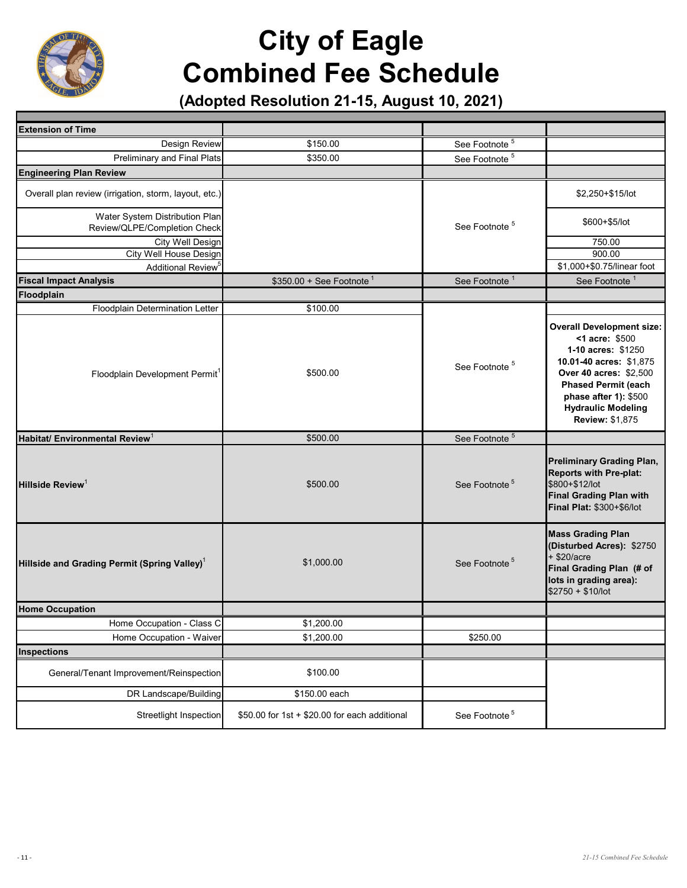

| <b>Extension of Time</b>                                       |                                               |                           |                                                                                                                                                                                                                                             |
|----------------------------------------------------------------|-----------------------------------------------|---------------------------|---------------------------------------------------------------------------------------------------------------------------------------------------------------------------------------------------------------------------------------------|
| Design Review                                                  | \$150.00                                      | See Footnote <sup>5</sup> |                                                                                                                                                                                                                                             |
| Preliminary and Final Plats                                    | \$350.00                                      | See Footnote <sup>5</sup> |                                                                                                                                                                                                                                             |
| <b>Engineering Plan Review</b>                                 |                                               |                           |                                                                                                                                                                                                                                             |
| Overall plan review (irrigation, storm, layout, etc.)          |                                               |                           | \$2,250+\$15/lot                                                                                                                                                                                                                            |
| Water System Distribution Plan<br>Review/QLPE/Completion Check |                                               | See Footnote <sup>5</sup> | \$600+\$5/lot                                                                                                                                                                                                                               |
| City Well Design                                               |                                               |                           | 750.00                                                                                                                                                                                                                                      |
| City Well House Design                                         |                                               |                           | 900.00                                                                                                                                                                                                                                      |
| Additional Review <sup>5</sup>                                 |                                               |                           | \$1,000+\$0.75/linear foot                                                                                                                                                                                                                  |
| <b>Fiscal Impact Analysis</b>                                  | $$350.00 + See Footnote$ <sup>1</sup>         | See Footnote <sup>1</sup> | See Footnote <sup>1</sup>                                                                                                                                                                                                                   |
| Floodplain                                                     |                                               |                           |                                                                                                                                                                                                                                             |
| Floodplain Determination Letter                                | \$100.00                                      |                           |                                                                                                                                                                                                                                             |
| Floodplain Development Permit <sup>1</sup>                     | \$500.00                                      | See Footnote <sup>5</sup> | <b>Overall Development size:</b><br><1 acre: \$500<br>1-10 acres: \$1250<br>10.01-40 acres: \$1,875<br>Over 40 acres: \$2,500<br><b>Phased Permit (each</b><br>phase after 1): \$500<br><b>Hydraulic Modeling</b><br><b>Review: \$1,875</b> |
| Habitat/ Environmental Review <sup>1</sup>                     | \$500.00                                      | See Footnote <sup>5</sup> |                                                                                                                                                                                                                                             |
| Hillside Review <sup>1</sup>                                   | \$500.00                                      | See Footnote <sup>5</sup> | <b>Preliminary Grading Plan,</b><br>Reports with Pre-plat:<br>\$800+\$12/lot<br><b>Final Grading Plan with</b><br>Final Plat: \$300+\$6/lot                                                                                                 |
| Hillside and Grading Permit (Spring Valley) <sup>1</sup>       | \$1,000.00                                    | See Footnote <sup>5</sup> | <b>Mass Grading Plan</b><br>(Disturbed Acres): \$2750<br>$+$ \$20/acre<br>Final Grading Plan (# of<br>lots in grading area):<br>\$2750 + \$10/lot                                                                                           |
| <b>Home Occupation</b>                                         |                                               |                           |                                                                                                                                                                                                                                             |
| Home Occupation - Class C                                      | \$1,200.00                                    |                           |                                                                                                                                                                                                                                             |
| Home Occupation - Waiver                                       | \$1,200.00                                    | \$250.00                  |                                                                                                                                                                                                                                             |
| <b>Inspections</b>                                             |                                               |                           |                                                                                                                                                                                                                                             |
| General/Tenant Improvement/Reinspection                        | \$100.00                                      |                           |                                                                                                                                                                                                                                             |
| DR Landscape/Building                                          | \$150.00 each                                 |                           |                                                                                                                                                                                                                                             |
| Streetlight Inspection                                         | \$50.00 for 1st + \$20.00 for each additional | See Footnote <sup>5</sup> |                                                                                                                                                                                                                                             |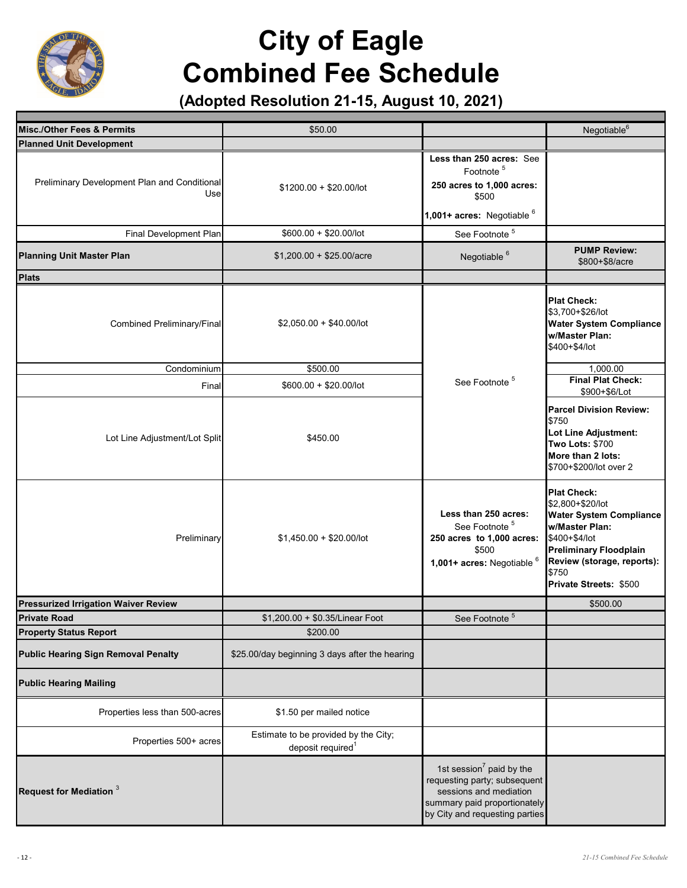

| Misc./Other Fees & Permits                           | \$50.00                                                               |                                                                                                                                                         | Negotiable <sup>6</sup>                                                                                                                                                                                              |
|------------------------------------------------------|-----------------------------------------------------------------------|---------------------------------------------------------------------------------------------------------------------------------------------------------|----------------------------------------------------------------------------------------------------------------------------------------------------------------------------------------------------------------------|
| <b>Planned Unit Development</b>                      |                                                                       |                                                                                                                                                         |                                                                                                                                                                                                                      |
| Preliminary Development Plan and Conditional<br>Usel | $$1200.00 + $20.00/$ lot                                              | Less than 250 acres: See<br>Footnote <sup>5</sup><br>250 acres to 1,000 acres:<br>\$500<br>1,001+ acres: Negotiable 6                                   |                                                                                                                                                                                                                      |
| Final Development Plan                               | $$600.00 + $20.00/$ lot                                               | See Footnote <sup>5</sup>                                                                                                                               |                                                                                                                                                                                                                      |
| <b>Planning Unit Master Plan</b>                     | $$1,200.00 + $25.00/acre$                                             | Negotiable <sup>6</sup>                                                                                                                                 | <b>PUMP Review:</b><br>\$800+\$8/acre                                                                                                                                                                                |
| <b>Plats</b>                                         |                                                                       |                                                                                                                                                         |                                                                                                                                                                                                                      |
| Combined Preliminary/Final                           | $$2,050.00 + $40.00/$ lot                                             |                                                                                                                                                         | <b>Plat Check:</b><br>\$3,700+\$26/lot<br><b>Water System Compliance</b><br>w/Master Plan:<br>\$400+\$4/lot                                                                                                          |
| Condominium                                          | \$500.00                                                              |                                                                                                                                                         | 1,000.00                                                                                                                                                                                                             |
| Final                                                | $$600.00 + $20.00/$ lot                                               | See Footnote <sup>5</sup>                                                                                                                               | <b>Final Plat Check:</b><br>\$900+\$6/Lot                                                                                                                                                                            |
| Lot Line Adjustment/Lot Split                        | \$450.00                                                              |                                                                                                                                                         | <b>Parcel Division Review:</b><br>\$750<br>Lot Line Adjustment:<br><b>Two Lots: \$700</b><br>More than 2 lots:<br>\$700+\$200/lot over 2                                                                             |
| Preliminary                                          | $$1,450.00 + $20.00/$ lot                                             | Less than 250 acres:<br>See Footnote <sup>5</sup><br>250 acres to 1,000 acres:<br>\$500<br>1,001+ acres: Negotiable 6                                   | <b>Plat Check:</b><br>\$2,800+\$20/lot<br><b>Water System Compliance</b><br><b>w/Master Plan:</b><br>\$400+\$4/lot<br><b>Preliminary Floodplain</b><br>Review (storage, reports):<br>\$750<br>Private Streets: \$500 |
| <b>Pressurized Irrigation Waiver Review</b>          |                                                                       |                                                                                                                                                         | \$500.00                                                                                                                                                                                                             |
| <b>Private Road</b>                                  | \$1,200.00 + \$0.35/Linear Foot                                       | $\overline{5}$<br>See Footnote                                                                                                                          |                                                                                                                                                                                                                      |
| <b>Property Status Report</b>                        | \$200.00                                                              |                                                                                                                                                         |                                                                                                                                                                                                                      |
| <b>Public Hearing Sign Removal Penalty</b>           | \$25.00/day beginning 3 days after the hearing                        |                                                                                                                                                         |                                                                                                                                                                                                                      |
| <b>Public Hearing Mailing</b>                        |                                                                       |                                                                                                                                                         |                                                                                                                                                                                                                      |
| Properties less than 500-acres                       | \$1.50 per mailed notice                                              |                                                                                                                                                         |                                                                                                                                                                                                                      |
| Properties 500+ acres                                | Estimate to be provided by the City;<br>deposit required <sup>1</sup> |                                                                                                                                                         |                                                                                                                                                                                                                      |
| Request for Mediation 3                              |                                                                       | 1st session $7$ paid by the<br>requesting party; subsequent<br>sessions and mediation<br>summary paid proportionately<br>by City and requesting parties |                                                                                                                                                                                                                      |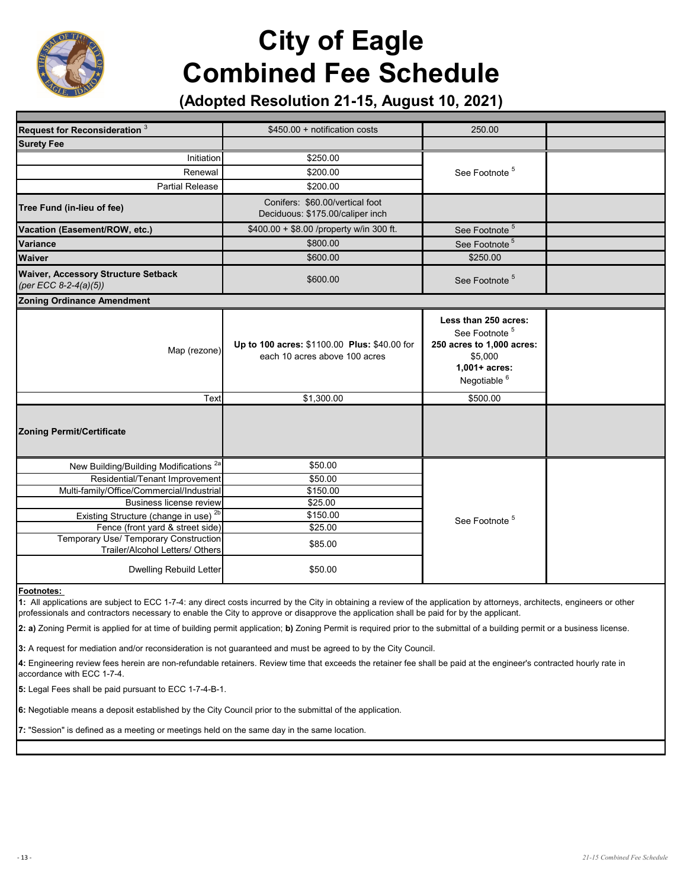

#### **(Adopted Resolution 21-15, August 10, 2021)**

| Request for Reconsideration 3                                                        | $$450.00 +$ notification costs                                                | 250.00                                                                                                                                  |  |
|--------------------------------------------------------------------------------------|-------------------------------------------------------------------------------|-----------------------------------------------------------------------------------------------------------------------------------------|--|
| <b>Surety Fee</b>                                                                    |                                                                               |                                                                                                                                         |  |
| Initiation                                                                           | \$250.00                                                                      | See Footnote <sup>5</sup>                                                                                                               |  |
| Renewal                                                                              | \$200.00                                                                      |                                                                                                                                         |  |
| <b>Partial Release</b>                                                               | \$200.00                                                                      |                                                                                                                                         |  |
| Tree Fund (in-lieu of fee)                                                           | Conifers: \$60.00/vertical foot<br>Deciduous: \$175.00/caliper inch           |                                                                                                                                         |  |
| Vacation (Easement/ROW, etc.)                                                        | \$400.00 + \$8.00 /property w/in 300 ft.                                      | See Footnote <sup>5</sup>                                                                                                               |  |
| Variance                                                                             | \$800.00                                                                      | See Footnote <sup>5</sup>                                                                                                               |  |
| <b>Waiver</b>                                                                        | \$600.00                                                                      | \$250.00                                                                                                                                |  |
| <b>Waiver, Accessory Structure Setback</b><br>(per ECC 8-2-4(a)(5))                  | \$600.00                                                                      | See Footnote <sup>5</sup>                                                                                                               |  |
| <b>Zoning Ordinance Amendment</b>                                                    |                                                                               |                                                                                                                                         |  |
| Map (rezone)                                                                         | Up to 100 acres: \$1100.00 Plus: \$40.00 for<br>each 10 acres above 100 acres | Less than 250 acres:<br>See Footnote <sup>5</sup><br>250 acres to 1,000 acres:<br>\$5,000<br>$1,001+$ acres:<br>Negotiable <sup>6</sup> |  |
| Text                                                                                 | \$1,300.00                                                                    | \$500.00                                                                                                                                |  |
| <b>Zoning Permit/Certificate</b>                                                     |                                                                               |                                                                                                                                         |  |
| New Building/Building Modifications <sup>2a</sup>                                    | \$50.00                                                                       |                                                                                                                                         |  |
| Residential/Tenant Improvement                                                       | \$50.00                                                                       |                                                                                                                                         |  |
| Multi-family/Office/Commercial/Industrial                                            | \$150.00                                                                      |                                                                                                                                         |  |
| <b>Business license review</b>                                                       | \$25.00                                                                       |                                                                                                                                         |  |
| Existing Structure (change in use) <sup>2b</sup><br>Fence (front yard & street side) | \$150.00<br>\$25.00                                                           | See Footnote <sup>5</sup>                                                                                                               |  |
| Temporary Use/ Temporary Construction<br>Trailer/Alcohol Letters/ Others             | \$85.00                                                                       |                                                                                                                                         |  |
| Dwelling Rebuild Letter                                                              | \$50.00                                                                       |                                                                                                                                         |  |

**Footnotes:** 

**1:** All applications are subject to ECC 1-7-4: any direct costs incurred by the City in obtaining a review of the application by attorneys, architects, engineers or other professionals and contractors necessary to enable the City to approve or disapprove the application shall be paid for by the applicant.

**2: a)** Zoning Permit is applied for at time of building permit application; **b)** Zoning Permit is required prior to the submittal of a building permit or a business license.

**3:** A request for mediation and/or reconsideration is not guaranteed and must be agreed to by the City Council.

**4:** Engineering review fees herein are non-refundable retainers. Review time that exceeds the retainer fee shall be paid at the engineer's contracted hourly rate in accordance with ECC 1-7-4.

**5:** Legal Fees shall be paid pursuant to ECC 1-7-4-B-1.

**6:** Negotiable means a deposit established by the City Council prior to the submittal of the application.

**7:** "Session" is defined as a meeting or meetings held on the same day in the same location.